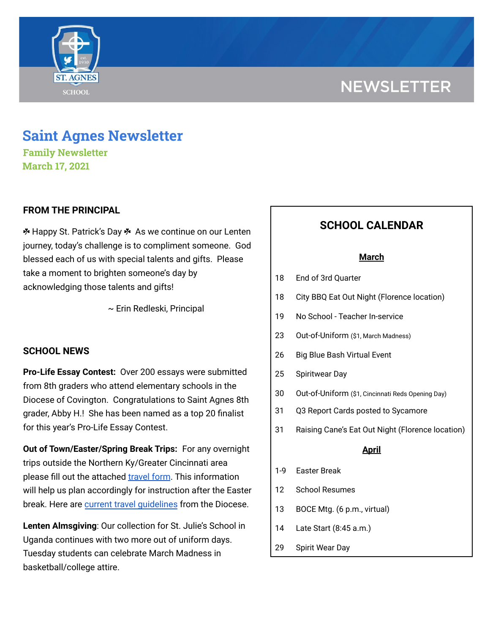

# **Saint Agnes Newsletter**

**Family Newsletter March 17, 2021**

**SCHOOL** 

## **FROM THE PRINCIPAL**

 $*$  **Happy St. Patrick's Day**  $*$  **As we continue on our Lenten** journey, today's challenge is to compliment someone. God blessed each of us with special talents and gifts. Please take a moment to brighten someone's day by acknowledging those talents and gifts!

~ Erin Redleski, Principal

#### **SCHOOL NEWS**

**Pro-Life Essay Contest:** Over 200 essays were submitted from 8th graders who attend elementary schools in the Diocese of Covington. Congratulations to Saint Agnes 8th grader, Abby H.! She has been named as a top 20 finalist for this year's Pro-Life Essay Contest.

**Out of Town/Easter/Spring Break Trips:** For any overnight trips outside the Northern Ky/Greater Cincinnati area please fill out the attached [travel](https://docs.google.com/forms/d/1G4JmfFWk29Sxg_3O81r5EB0F7IYJyTofEAGJ9wd5aO4/edit?ts=5f985dbb&gxids=7628) form. This information will help us plan accordingly for instruction after the Easter break. Here are current travel [guidelines](https://school.saintagnes.com/wp-content/uploads/2021/03/Travel-Quarentine-Update-1.22.21.pdf) from the Diocese.

**Lenten Almsgiving**: Our collection for St. Julie's School in Uganda continues with two more out of uniform days. Tuesday students can celebrate March Madness in basketball/college attire.

## **SCHOOL CALENDAR**

#### **March**

- 18 End of 3rd Quarter
- 18 City BBQ Eat Out Night (Florence location)
- 19 No School Teacher In-service
- 23 Out-of-Uniform (\$1, March Madness)
- 26 Big Blue Bash Virtual Event
- 25 Spiritwear Day
- 30 Out-of-Uniform (\$1, Cincinnati Reds Opening Day)
- 31 Q3 Report Cards posted to Sycamore
- 31 Raising Cane's Eat Out Night (Florence location)

#### **April**

- 1-9 Easter Break
- 12 School Resumes
- 13 BOCE Mtg. (6 p.m., virtual)
- 14 Late Start (8:45 a.m.)
- 29 Spirit Wear Day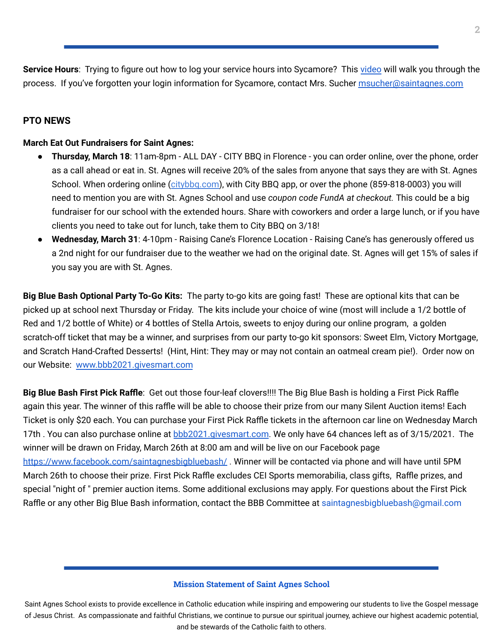**Service Hours**: Trying to figure out how to log your service hours into Sycamore? This [video](https://drive.google.com/file/d/1cmYj9N-NF2btSiiG8QdTD20q2RJRpwk7/view) will walk you through the process. If you've forgotten your login information for Sycamore, contact Mrs. Sucher [msucher@saintagnes.com](mailto:msucher@saintagnes.com)

## **PTO NEWS**

#### **March Eat Out Fundraisers for Saint Agnes:**

- **Thursday, March 18**: 11am-8pm ALL DAY CITY BBQ in Florence you can order online, over the phone, order as a call ahead or eat in. St. Agnes will receive 20% of the sales from anyone that says they are with St. Agnes School. When ordering online ([citybbq.com\)](http://citybbq.com/), with City BBQ app, or over the phone (859-818-0003) you will need to mention you are with St. Agnes School and use *coupon code FundA at checkout.* This could be a big fundraiser for our school with the extended hours. Share with coworkers and order a large lunch, or if you have clients you need to take out for lunch, take them to City BBQ on 3/18!
- **Wednesday, March 31**: 4-10pm Raising Cane's Florence Location Raising Cane's has generously offered us a 2nd night for our fundraiser due to the weather we had on the original date. St. Agnes will get 15% of sales if you say you are with St. Agnes.

**Big Blue Bash Optional Party To-Go Kits:** The party to-go kits are going fast! These are optional kits that can be picked up at school next Thursday or Friday. The kits include your choice of wine (most will include a 1/2 bottle of Red and 1/2 bottle of White) or 4 bottles of Stella Artois, sweets to enjoy during our online program, a golden scratch-off ticket that may be a winner, and surprises from our party to-go kit sponsors: Sweet Elm, Victory Mortgage, and Scratch Hand-Crafted Desserts! (Hint, Hint: They may or may not contain an oatmeal cream pie!). Order now on our Website: [www.bbb2021.givesmart.com](http://www.bbb2021.givesmart.com/)

**Big Blue Bash First Pick Raffle**: Get out those four-leaf clovers!!!! The Big Blue Bash is holding a First Pick Raffle again this year. The winner of this raffle will be able to choose their prize from our many Silent Auction items! Each Ticket is only \$20 each. You can purchase your First Pick Raffle tickets in the afternoon car line on Wednesday March 17th. You can also purchase online at [bbb2021.givesmart.com](http://bbb2021.givesmart.com/). We only have 64 chances left as of 3/15/2021. The winner will be drawn on Friday, March 26th at 8:00 am and will be live on our Facebook page <https://www.facebook.com/saintagnesbigbluebash/>. Winner will be contacted via phone and will have until 5PM March 26th to choose their prize. First Pick Raffle excludes CEI Sports memorabilia, class gifts, Raffle prizes, and special "night of " premier auction items. Some additional exclusions may apply. For questions about the First Pick Raffle or any other Big Blue Bash information, contact the BBB Committee at saintagnesbigbluebash@gmail.com

#### **Mission Statement of Saint Agnes School**

Saint Agnes School exists to provide excellence in Catholic education while inspiring and empowering our students to live the Gospel message of Jesus Christ. As compassionate and faithful Christians, we continue to pursue our spiritual journey, achieve our highest academic potential, and be stewards of the Catholic faith to others.